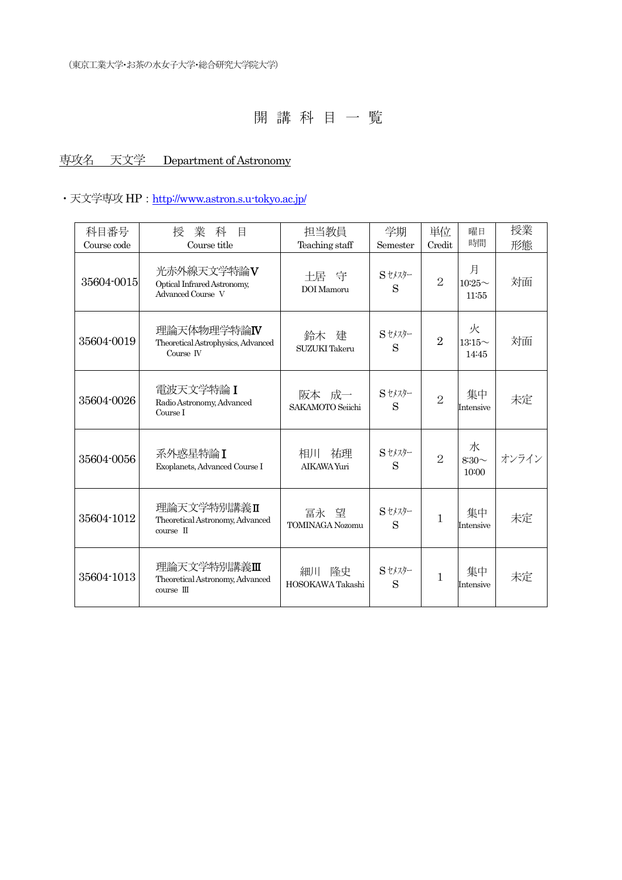## 専攻名 天文学 Department of Astronomy

### ・天文学専攻 HP: http://www.astron.s.u-tokyo.ac.jp/

| 科目番号        | 業<br>科<br>授<br>目                                                | 担当教員                              | 学期          | 単位             | 曜日<br>時間                   | 授業    |
|-------------|-----------------------------------------------------------------|-----------------------------------|-------------|----------------|----------------------------|-------|
| Course code | Course title                                                    | Teaching staff                    | Semester    | Credit         |                            | 形態    |
| 35604-0015  | 光赤外線天文学特論V<br>Optical Infrared Astronomy,<br>Advanced Course V  | 十居 守<br>DOI Mamoru                | Sセメスター<br>S | $\overline{2}$ | 月<br>$10:25 \sim$<br>11:55 | 対面    |
| 35604-0019  | 理論天体物理学特論IV<br>Theoretical Astrophysics, Advanced<br>Course IV  | 鈴木<br>建<br>SUZUKI Takeru          | Sセメスター<br>S | $\overline{2}$ | 火<br>$13:15\sim$<br>14:45  | 対面    |
| 35604-0026  | 電波天文学特論 I<br>Radio Astronomy, Advanced<br>Course I              | 阪本成一<br>SAKAMOTO Sejichi          | Sセメスター<br>S | $\overline{2}$ | 集中<br>Intensive            | 未定    |
| 35604-0056  | 系外惑星特論I<br>Exoplanets, Advanced Course I                        | 相川<br>祐理<br>AIKAWA Yuri           | Sセメスター<br>S | $\overline{2}$ | 水<br>$8:30\sim$<br>10:00   | オンライン |
| 35604-1012  | 理論天文学特別講義Ⅱ<br>Theoretical Astronomy, Advanced<br>$course$ $\Pi$ | 冨永<br>望<br><b>TOMINAGA Nozomu</b> | Sセメスター<br>S | 1              | 集中<br>Intensive            | 未定    |
| 35604-1013  | 理論天文学特別講義Ⅲ<br>Theoretical Astronomy, Advanced<br>$course$ $III$ | 隆史<br>細川<br>HOSOKAWA Takashi      | Sセメスター<br>S | 1              | 集中<br>Intensive            | 未定    |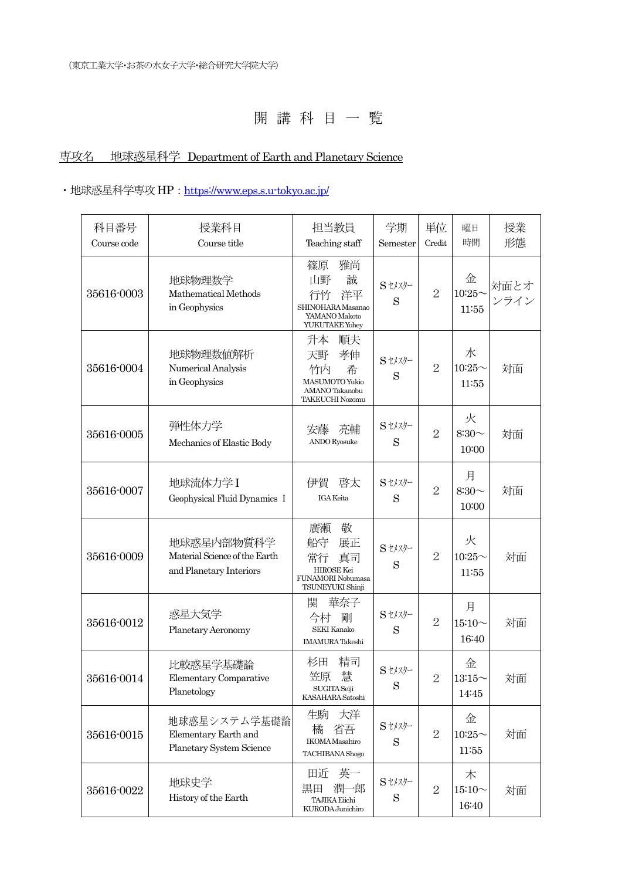# 専攻名 地球惑星科学 Department of Earth and Planetary Science

### · 地球惑星科学専攻 HP : https://www.eps.s.u-tokyo.ac.jp/

| 科目番号<br>Course code | 授業科目<br>Course title                                                   | 担当教員<br>Teaching staff                                                                        | 学期<br>Semester | 単位<br>Credit   | 曜日<br>時間                   | 授業<br>形態     |
|---------------------|------------------------------------------------------------------------|-----------------------------------------------------------------------------------------------|----------------|----------------|----------------------------|--------------|
| 35616-0003          | 地球物理数学<br>Mathematical Methods<br>in Geophysics                        | 雅尚<br>篠原<br>山野<br>誠<br>行竹<br>洋平<br>SHINOHARA Masanao<br>YAMANO Makoto<br>YUKUTAKE Yohey       | Sセメスター<br>S    | $\overline{2}$ | 金<br>$10:25$ ~<br>11:55    | 対面とオ<br>ンライン |
| 35616-0004          | 地球物理数値解析<br>Numerical Analysis<br>in Geophysics                        | 順夫<br>升本<br>孝伸<br>天野<br>竹内<br>希<br>MASUMOTO Yukio<br>AMANO Takanobu<br><b>TAKEUCHI Nozomu</b> | Sセメスター<br>S    | $\overline{2}$ | 水<br>$10:25$ ~<br>11:55    | 対面           |
| 35616-0005          | 弾性体力学<br>Mechanics of Elastic Body                                     | 安藤<br>亮輔<br><b>ANDO</b> Ryosuke                                                               | Stメスター<br>S    | $\overline{2}$ | 火<br>$8:30\sim$<br>10:00   | 対面           |
| 35616-0007          | 地球流体力学I<br>Geophysical Fluid Dynamics I                                | 伊賀<br>啓太<br><b>IGA</b> Keita                                                                  | Sセメスター<br>S    | $\overline{2}$ | 月<br>$8:30\sim$<br>10:00   | 対面           |
| 35616-0009          | 地球惑星内部物質科学<br>Material Science of the Earth<br>and Planetary Interiors | 廣瀬<br>敬<br>船守<br>展正<br>常行<br>真司<br>HIROSE Kei<br>FUNAMORI Nobumasa<br>TSUNEYUKI Shinji        | Sセメスター<br>S    | $\overline{2}$ | 火<br>$10:25$ ~<br>11:55    | 対面           |
| 35616-0012          | 惑星大気学<br>Planetary Aeronomy                                            | 関<br>華奈子<br>今村<br>剛<br><b>SEKI Kanako</b><br><b>IMAMURA</b> Takeshi                           | Sセメスター<br>S    | $\overline{2}$ | 月<br>$15:10 \sim$<br>16:40 | 対面           |
| 35616-0014          | 比較惑星学基礎論<br><b>Elementary Comparative</b><br>Planetology               | 精司<br>杉田<br>慧<br>笠原<br>SUGITA Seiji<br>KASAHARA Satoshi                                       | Sセメスター<br>S    | $\overline{2}$ | 金<br>13:15<br>14:45        | 対面           |
| 35616-0015          | 地球惑星システム学基礎論<br>Elementary Earth and<br>Planetary System Science       | 生駒<br>大洋<br>橘<br>省吾<br><b>IKOMA</b> Masahiro<br>TACHIBANA Shogo                               | Stメスター<br>S    | $\mathbf{2}$   | 金<br>$10:25$ ~<br>11:55    | 対面           |
| 35616-0022          | 地球史学<br>History of the Earth                                           | 英一<br>田近<br>潤一郎<br>黒田<br><b>TAJIKA Eiichi</b><br>KURODA Junichiro                             | Stメスター<br>S    | $\mathbf{2}$   | 木<br>$15:10 \sim$<br>16:40 | 対面           |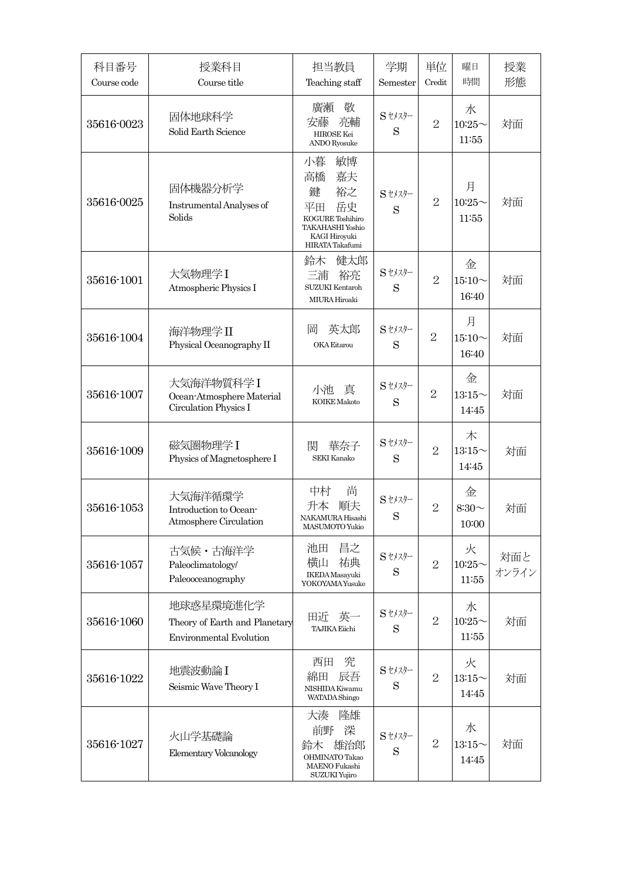| 科目番号<br>Course code | 授業科目<br>Course title                                                         | 担当教員<br>Teaching staff                                                                                                  | 学期<br>Semester | 単位<br>Credit   | 曜日<br>時間                   | 授業<br>形態     |
|---------------------|------------------------------------------------------------------------------|-------------------------------------------------------------------------------------------------------------------------|----------------|----------------|----------------------------|--------------|
| 35616-0023          | 固体地球科学<br>Solid Earth Science                                                | 敬<br>廣瀬<br>亮輔<br>安藤<br>HIROSE Kei<br><b>ANDO</b> Ryosuke                                                                | $S$ セメスター<br>S | $\overline{2}$ | 水<br>$10:25$ ~<br>11:55    | 対面           |
| 35616-0025          | 固体機器分析学<br>Instrumental Analyses of<br>Solids                                | 小暮<br>敏博<br>高橋<br>嘉夫<br>裕之<br>鍵<br>岳史<br>平田<br>KOGURE Toshihiro<br>TAKAHASHI Yoshio<br>KAGI Hiroyuki<br>HIRATA Takafumi | Sセメスター<br>S    | $\overline{2}$ | 月<br>$10:25$ ~<br>11:55    | 対面           |
| 35616-1001          | 大気物理学I<br>Atmospheric Physics I                                              | 鈴木<br>健太郎<br>三浦<br>裕亮<br><b>SUZUKI</b> Kentaroh<br>MIURA Hiroaki                                                        | Sセメスター<br>S    | $\overline{2}$ | 金<br>$15:10 \sim$<br>16:40 | 対面           |
| 35616-1004          | 海洋物理学II<br>Physical Oceanography II                                          | 英太郎<br>岡<br>OKA Eitarou                                                                                                 | Sセメスター<br>S    | $\overline{2}$ | 月<br>$15:10 \sim$<br>16:40 | 対面           |
| 35616-1007          | 大気海洋物質科学I<br>Ocean-Atmosphere Material<br>Circulation Physics I              | 小池<br>真<br><b>KOIKE</b> Makoto                                                                                          | Sセメスター<br>S    | $\overline{2}$ | 金<br>$13:15$ ~<br>14:45    | 対面           |
| 35616-1009          | 磁気圏物理学I<br>Physics of Magnetosphere I                                        | 関<br>華奈子<br>SEKI Kanako                                                                                                 | Sセメスター<br>S    | $\overline{2}$ | 木<br>$13:15$ ~<br>14:45    | 対面           |
| 35616-1053          | 大気海洋循環学<br>Introduction to Ocean-<br>Atmosphere Circulation                  | 尚<br>中村<br>升本<br>順夫<br>NAKAMURA Hisashi<br>MASUMOTO Yukio                                                               | $S$ セメスター<br>S | $\overline{2}$ | 金<br>$8:30\sim$<br>10:00   | 対面           |
| 35616-1057          | 古気候・古海洋学<br>Paleoclimatology/<br>Paleooceanography                           | 昌之<br>池田<br>横山<br>祐典<br>IKEDA Masayuki<br>YOKOYAMA Yusuke                                                               | Stメスター<br>S    | $\overline{2}$ | 火<br>$10:25$ ~<br>11:55    | 対面と<br>オンライン |
| 35616-1060          | 地球惑星環境進化学<br>Theory of Earth and Planetary<br><b>Environmental Evolution</b> | 英一<br>田近<br><b>TAJIKA Eiichi</b>                                                                                        | Sセメスター<br>S    | $\overline{2}$ | 水<br>$10:25$ ~<br>11:55    | 対面           |
| 35616-1022          | 地震波動論 I<br>Seismic Wave Theory I                                             | 究<br>西田<br>綿田<br>辰吾<br>NISHIDA Kiwamu<br><b>WATADA Shingo</b>                                                           | Sセメスター<br>S    | $\overline{2}$ | 火<br>$13:15$ ~<br>14:45    | 対面           |
| 35616-1027          | 火山学基礎論<br>Elementary Volcanology                                             | 大湊<br>隆雄<br>深<br>前野<br>雄治郎<br>鈴木<br><b>OHMINATO Takao</b><br>MAENO Fukashi<br>SUZUKI Yujiro                             | St177<br>S     | $\overline{2}$ | 水<br>$13:15$ ~<br>14:45    | 対面           |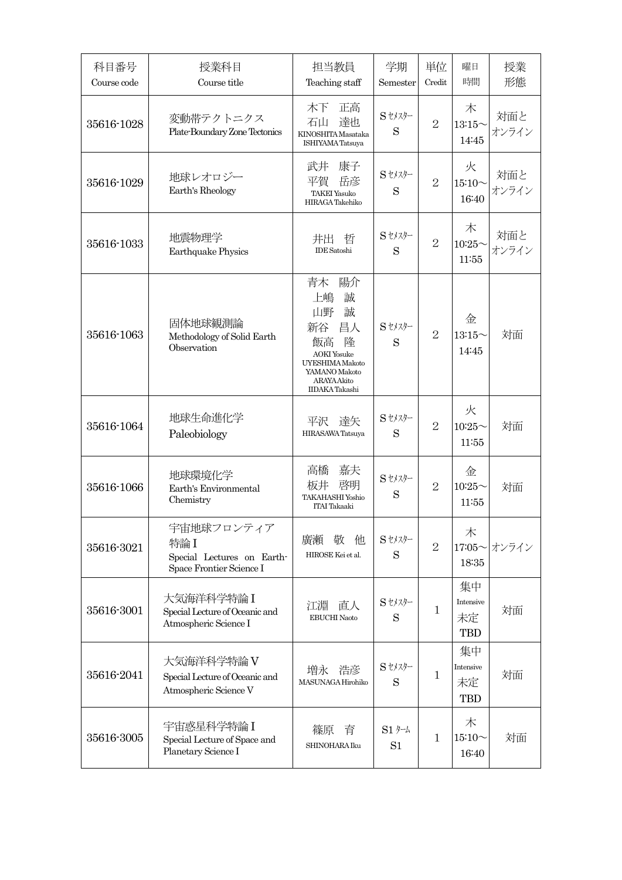| 科目番号<br>Course code | 授業科目<br>Course title                                                        | 担当教員<br>Teaching staff                                                                                                                          | 学期<br>Semester                            | 単位<br>Credit   | 曜日<br>時間                            | 授業<br>形態     |
|---------------------|-----------------------------------------------------------------------------|-------------------------------------------------------------------------------------------------------------------------------------------------|-------------------------------------------|----------------|-------------------------------------|--------------|
| 35616-1028          | 変動帯テクトニクス<br>Plate-Boundary Zone Tectonics                                  | 木下<br>正高<br>達也<br>石山<br>KINOSHITA Masataka<br><b>ISHIYAMA</b> Tatsuya                                                                           | Sセメスター<br>S                               | $\overline{2}$ | 木<br>$13:15$ ~<br>14:45             | 対面と<br>オンライン |
| 35616-1029          | 地球レオロジー<br>Earth's Rheology                                                 | 康子<br>武井<br>平賀<br>岳彦<br><b>TAKEI</b> Yasuko<br>HIRAGA Takehiko                                                                                  | Sセメスター<br>S                               | $\overline{2}$ | 火<br>$15:10 \sim$<br>16:40          | 対面と<br>オンライン |
| 35616-1033          | 地震物理学<br><b>Earthquake Physics</b>                                          | 井出<br>哲<br><b>IDE</b> Satoshi                                                                                                                   | $S$ セメスター<br>S                            | $\overline{2}$ | 木<br>$10:25$ ~<br>11:55             | 対面と<br>オンライン |
| 35616-1063          | 固体地球観測論<br>Methodology of Solid Earth<br>Observation                        | 陽介<br>青木<br>誠<br>上嶋<br>誠<br>山野<br>昌人<br>新谷<br>隆<br>飯高<br><b>AOKI</b> Yosuke<br>UYESHIMA Makoto<br>YAMANO Makoto<br>ARAYAAkito<br>IIDAKA Takashi | Sセメスター<br>S                               | $\overline{2}$ | 金<br>$13:15\sim$<br>14:45           | 対面           |
| 35616-1064          | 地球生命進化学<br>Paleobiology                                                     | 平沢<br>達矢<br>HIRASAWA Tatsuya                                                                                                                    | Sセメスター<br>S                               | $\overline{2}$ | 火<br>$10:25$ ~<br>11:55             | 対面           |
| 35616-1066          | 地球環境化学<br>Earth's Environmental<br>Chemistry                                | 嘉夫<br>高橋<br>啓明<br>板井<br><b>TAKAHASHI Yoshio</b><br>ITAI Takaaki                                                                                 | Sセメスター<br>S                               | $\overline{2}$ | 金<br>$10:25$ ~<br>11:55             | 対面           |
| 35616-3021          | 宇宙地球フロンティア<br>特論I<br>Special Lectures on Earth-<br>Space Frontier Science I | 廣瀬<br>敬<br>他<br>HIROSE Kei et al.                                                                                                               | $S$ セメスター<br>S                            | $\overline{2}$ | 木<br>17:05 $\sim$<br>18:35          | オンライン        |
| 35616-3001          | 大気海洋科学特論I<br>Special Lecture of Oceanic and<br>Atmospheric Science I        | 江淵<br>直人<br><b>EBUCHI</b> Naoto                                                                                                                 | Sセメスター<br>S                               | $\mathbf{1}$   | 集中<br>Intensive<br>未定<br><b>TBD</b> | 対面           |
| 35616-2041          | 大気海洋科学特論 V<br>Special Lecture of Oceanic and<br>Atmospheric Science V       | 増永 浩彦<br>MASUNAGA Hirohiko                                                                                                                      | Sセメスター<br>S                               | $\mathbf{1}$   | 集中<br>Intensive<br>未定<br>TBD        | 対面           |
| 35616-3005          | 宇宙惑星科学特論I<br>Special Lecture of Space and<br>Planetary Science I            | 篠原<br>育<br>SHINOHARA Iku                                                                                                                        | $S1$ $h$ <sup>-<math>h</math></sup><br>S1 | 1              | 木<br>$15:10\sim$<br>16:40           | 対面           |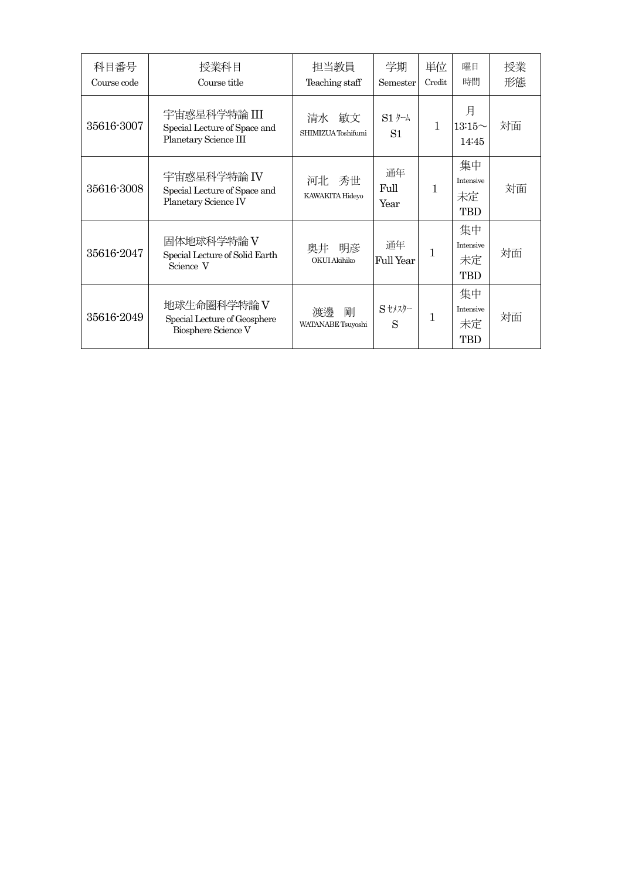| 科目番号<br>Course code | 授業科目<br>Course title                                                  | 担当教員<br>Teaching staff       | 学期<br>Semester                       | 単位<br>Credit | 曜日<br>時間                                   | 授業<br>形態 |
|---------------------|-----------------------------------------------------------------------|------------------------------|--------------------------------------|--------------|--------------------------------------------|----------|
| 35616-3007          | 宇宙惑星科学特論 III<br>Special Lecture of Space and<br>Planetary Science III | 清水 敏文<br>SHIMIZUA Toshifumi  | $S1$ $\not\vdash$ $\downarrow$<br>S1 | $\mathbf{1}$ | 月<br>$13:15\sim$<br>14:45                  | 対面       |
| 35616-3008          | 宇宙惑星科学特論 IV<br>Special Lecture of Space and<br>Planetary Science IV   | 河北 秀世<br>KAWAKITA Hideyo     | 通年<br>Full<br>Year                   | 1            | 集中<br><b>Intensive</b><br>未定<br><b>TBD</b> | 対面       |
| 35616-2047          | 固体地球科学特論 V<br>Special Lecture of Solid Earth<br>Science V             | 明彦<br>奥井<br>OKUI Akihiko     | 通年<br>Full Year                      |              | 集中<br>Intensive<br>未定<br><b>TBD</b>        | 対面       |
| 35616-2049          | 地球生命圏科学特論 V<br>Special Lecture of Geosphere<br>Biosphere Science V    | 渡邊<br>剛<br>WATANABE Tsuyoshi | Sセメスター<br>S                          |              | 集中<br><b>Intensive</b><br>未定<br>TBD        | 対面       |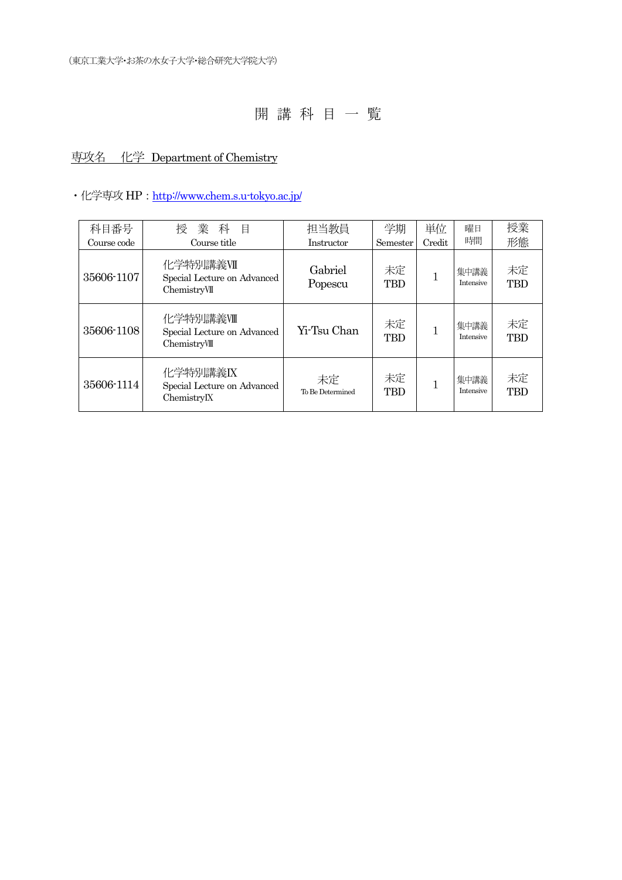## 専攻名 化学 Department of Chemistry

### ・化学専攻 HP: http://www.chem.s.u-tokyo.ac.jp/

| 科目番号        | 業<br>桵<br>科<br>目                                         | 担当教員                   | 学期               | 単位     | 曜日                       | 授業               |
|-------------|----------------------------------------------------------|------------------------|------------------|--------|--------------------------|------------------|
| Course code | Course title                                             | Instructor             | Semester         | Credit | 時間                       | 形態               |
| 35606-1107  | 化学特別講義VII<br>Special Lecture on Advanced<br>ChemistryVII | Gabriel<br>Popescu     | 未定<br><b>TBD</b> |        | 集中講義<br>Intensive        | 未定<br><b>TBD</b> |
| 35606-1108  | 化学特別講義Ⅷ<br>Special Lecture on Advanced<br>ChemistryVIII  | Yi-Tsu Chan            | 未定<br><b>TBD</b> |        | 集中講義<br><b>Intensive</b> | 未定<br><b>TBD</b> |
| 35606-1114  | 化学特別講義IX<br>Special Lecture on Advanced<br>ChemistryIX   | 未定<br>To Be Determined | 未定<br><b>TBD</b> |        | 集中講義<br><b>Intensive</b> | 未定<br><b>TBD</b> |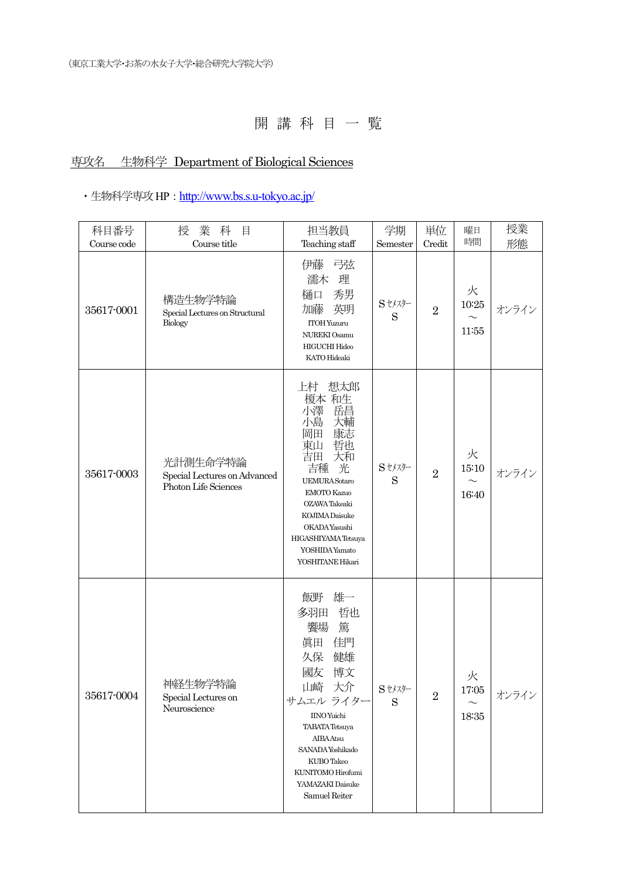## 専攻名 生物科学 Department of Biological Sciences

## ・生物科学専攻 HP : http://www.bs.s.u-tokyo.ac.jp/

| 科目番号<br>Course code | 業 科<br>授<br>目<br>Course title                                    | 担当教員<br>Teaching staff                                                                                                                                                                                                                                 | 学期<br>Semester                                                                                                                                      | 単位<br>Credit   | 曜日<br>時間                                | 授業<br>形態 |
|---------------------|------------------------------------------------------------------|--------------------------------------------------------------------------------------------------------------------------------------------------------------------------------------------------------------------------------------------------------|-----------------------------------------------------------------------------------------------------------------------------------------------------|----------------|-----------------------------------------|----------|
| 35617-0001          | 構造生物学特論<br>Special Lectures on Structural<br>Biology             | 伊藤 弓弦<br>濡木<br>理<br>秀男<br>樋口<br>英明<br>加藤<br>ITOH Yuzuru<br>NUREKI Osamu<br>HIGUCHI Hideo<br>KATO Hideaki                                                                                                                                               | Sセメスター<br>S                                                                                                                                         | $\overline{2}$ | 火<br>$10\mathord:25$<br>$\sim$<br>11:55 | オンライン    |
| 35617-0003          | 光計測生命学特論<br>Special Lectures on Advanced<br>Photon Life Sciences | 想太郎<br>上村<br>榎本 和生<br>小澤<br>岳昌<br>小島<br>大輔<br>康志<br>岡田<br>哲也<br>東山<br>大和<br>吉田<br>光<br>吉種<br><b>UEMURA</b> Sotaro<br><b>EMOTO Kazuo</b><br>OZAWA Takeaki<br>KOJIMA Daisuke<br>OKADAYasushi<br>HIGASHIYAMATetsuya<br>YOSHIDA Yamato<br>YOSHITANE Hikari | Stメスター<br>S                                                                                                                                         | $\overline{2}$ | 火<br>15:10<br>$\sim$<br>16:40           | オンライン    |
| 35617-0004          | 神経牛物学特論<br>Special Lectures on<br>Neuroscience                   | 雄一<br>飯野<br>多羽田<br>哲也<br>饗場<br>篤<br>佳門<br>眞田<br>久保<br>健雄<br>國友<br>博文<br>山崎<br>大介<br>サムエル ライター<br><b>IINO</b> Yuichi<br><b>TABATA</b> Tetsuya<br>AIBAAtsu<br>SANADA Yoshikado<br>KUBO Takeo<br>KUNITOMO Hirofumi<br>YAMAZAKI Daisuke<br>Samuel Reiter   | $\ensuremath{\mathrm{S}}\xspace$ t<br>$\ensuremath{\mathrm{K}}\xspace/\ensuremath{\mathrm{K}}\xspace/\ensuremath{\mathrm{S}}\xspace$<br>$\mathbf S$ | $\overline{2}$ | 火<br>$17\mathord{:}05$<br>$18:35\,$     | オンライン    |